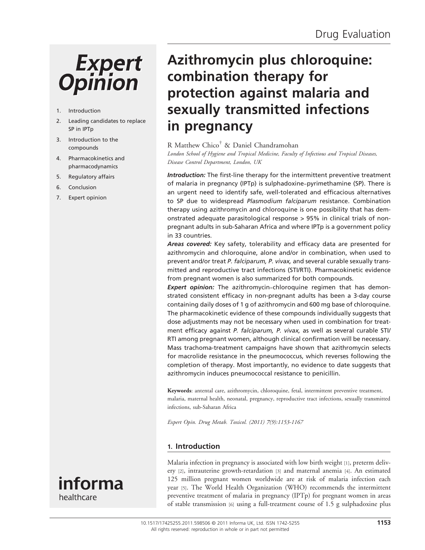# **Expert Opinion**

#### 1. Introduction

- 2. Leading candidates to replace SP in IPTp
- 3. Introduction to the compounds
- 4. Pharmacokinetics and pharmacodynamics
- 5. Regulatory affairs
- 6. Conclusion
- 7. Expert opinion

# Azithromycin plus chloroquine: combination therapy for protection against malaria and sexually transmitted infections in pregnancy

# R Matthew Chico† & Daniel Chandramohan

London School of Hygiene and Tropical Medicine, Faculty of Infectious and Tropical Diseases, Disease Control Department, London, UK

Introduction: The first-line therapy for the intermittent preventive treatment of malaria in pregnancy (IPTp) is sulphadoxine-pyrimethamine (SP). There is an urgent need to identify safe, well-tolerated and efficacious alternatives to SP due to widespread Plasmodium falciparum resistance. Combination therapy using azithromycin and chloroquine is one possibility that has demonstrated adequate parasitological response > 95% in clinical trials of nonpregnant adults in sub-Saharan Africa and where IPTp is a government policy in 33 countries.

Areas covered: Key safety, tolerability and efficacy data are presented for azithromycin and chloroquine, alone and/or in combination, when used to prevent and/or treat P. falciparum, P. vivax, and several curable sexually transmitted and reproductive tract infections (STI/RTI). Pharmacokinetic evidence from pregnant women is also summarized for both compounds.

**Expert opinion:** The azithromycin-chloroquine regimen that has demonstrated consistent efficacy in non-pregnant adults has been a 3-day course containing daily doses of 1 g of azithromycin and 600 mg base of chloroquine. The pharmacokinetic evidence of these compounds individually suggests that dose adjustments may not be necessary when used in combination for treatment efficacy against P. falciparum, P. vivax, as well as several curable STI/ RTI among pregnant women, although clinical confirmation will be necessary. Mass trachoma-treatment campaigns have shown that azithromycin selects for macrolide resistance in the pneumococcus, which reverses following the completion of therapy. Most importantly, no evidence to date suggests that azithromycin induces pneumococcal resistance to penicillin.

Keywords: antental care, azithromycin, chloroquine, fetal, intermittent preventive treatment, malaria, maternal health, neonatal, pregnancy, reproductive tract infections, sexually transmitted infections, sub-Saharan Africa

Expert Opin. Drug Metab. Toxicol. (2011) 7(9):1153-1167

# 1. Introduction



Malaria infection in pregnancy is associated with low birth weight [1], preterm delivery [2], intrauterine growth-retardation [3] and maternal anemia [4]. An estimated 125 million pregnant women worldwide are at risk of malaria infection each year [5]. The World Health Organization (WHO) recommends the intermittent preventive treatment of malaria in pregnancy (IPTp) for pregnant women in areas of stable transmission [6] using a full-treatment course of 1.5 g sulphadoxine plus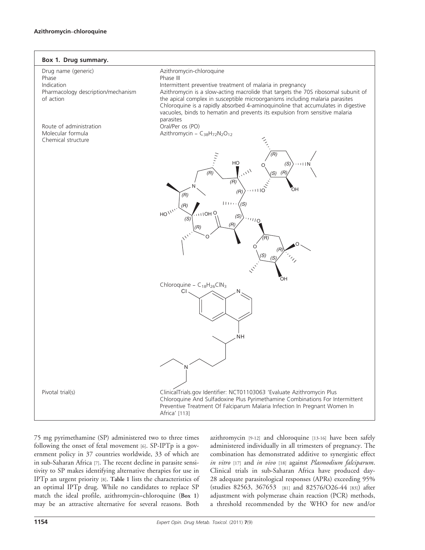

75 mg pyrimethamine (SP) administered two to three times following the onset of fetal movement [6]. SP-IPTp is a government policy in 37 countries worldwide, 33 of which are in sub-Saharan Africa [7]. The recent decline in parasite sensitivity to SP makes identifying alternative therapies for use in IPTp an urgent priority [8]. Table 1 lists the characteristics of an optimal IPTp drug. While no candidates to replace SP match the ideal profile, azithromycin--chloroquine (Box 1) may be an attractive alternative for several reasons. Both azithromycin [9-12] and chloroquine [13-16] have been safely administered individually in all trimesters of pregnancy. The combination has demonstrated additive to synergistic effect in vitro [17] and in vivo [18] against Plasmodium falciparum. Clinical trials in sub-Saharan Africa have produced day-28 adequate parasitological responses (APRs) exceeding 95% (studies 82563, 367653 [81] and 82576/O26-44 [83]) after adjustment with polymerase chain reaction (PCR) methods, a threshold recommended by the WHO for new and/or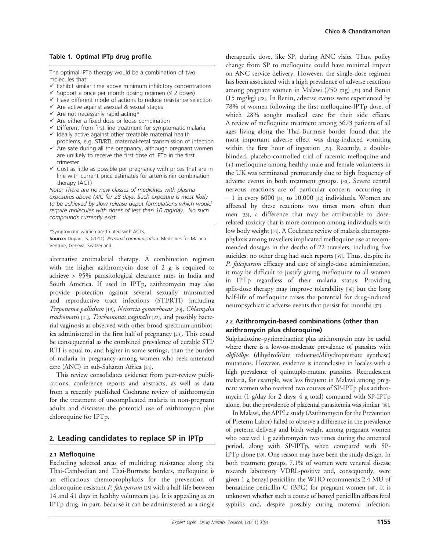#### Table 1. Optimal IPTp drug profile.

The optimal IPTp therapy would be a combination of two molecules that:

- $\checkmark$  Exhibit similar time above minimum inhibitory concentrations
- $\checkmark$  Support a once per month dosing regimen ( $\leq$  2 doses)
- $\checkmark$  Have different mode of actions to reduce resistance selection
- $\checkmark$  Are active against asexual & sexual stages
- $\checkmark$  Are not necessarily rapid acting\*
- $\checkmark$  Are either a fixed dose or loose combination
- $\checkmark$  Different from first line treatment for symptomatic malaria  $\checkmark$  Ideally active against other treatable maternal health
- problems, e.g. STI/RTI, maternal-fetal transmission of infection  $\checkmark$  Are safe during all the pregnancy, although pregnant women
- are unlikely to receive the first dose of IPTp in the first trimester
- $\checkmark$  Cost as little as possible per pregnancy with prices that are in line with current price estimates for artemisinin combination therapy (ACT)

Note: There are no new classes of medicines with plasma exposures above MIC for 28 days. Such exposure is most likely to be achieved by slow release depot formulations which would require molecules with doses of less than 10 mg/day. No such compounds currently exist.

\*Symptomatic women are treated with ACTs.

Source: Duparc, S. (2011). Personal communication. Medicines for Malaria Venture, Geneva, Switzerland.

alternative antimalarial therapy. A combination regimen with the higher azithromycin dose of 2 g is required to achieve > 95% parasitological clearance rates in India and South America. If used in IPTp, azithromycin may also provide protection against several sexually transmitted and reproductive tract infections (STI/RTI) including Treponema pallidum [19], Neisseria gonorrhoeae [20], Chlamydia trachomatis [21], Trichomonas vaginalis [22], and possibly bacterial vaginosis as observed with other broad-spectrum antibiotics administered in the first half of pregnancy [23]. This could be consequential as the combined prevalence of curable STI/ RTI is equal to, and higher in some settings, than the burden of malaria in pregnancy among women who seek antenatal care (ANC) in sub-Saharan Africa [24].

This review consolidates evidence from peer-review publications, conference reports and abstracts, as well as data from a recently published Cochrane review of azithromycin for the treatment of uncomplicated malaria in non-pregnant adults and discusses the potential use of azithromycin plus chloroquine for IPTp.

# 2. Leading candidates to replace SP in IPTp

#### 2.1 Mefloquine

Excluding selected areas of multidrug resistance along the Thai-Cambodian and Thai-Burmese borders, mefloquine is an efficacious chemoprophylaxis for the prevention of chloroquine-resistant P. falciparum [25] with a half-life between 14 and 41 days in healthy volunteers [26]. It is appealing as an IPTp drug, in part, because it can be administered as a single

therapeutic dose, like SP, during ANC visits. Thus, policy change from SP to mefloquine could have minimal impact on ANC service delivery. However, the single-dose regimen has been associated with a high prevalence of adverse reactions among pregnant women in Malawi (750 mg) [27] and Benin (15 mg/kg) [28]. In Benin, adverse events were experienced by 78% of women following the first mefloquine-IPTp dose, of which 28% sought medical care for their side effects. A review of mefloquine treatment among 3673 patients of all ages living along the Thai-Burmese border found that the most important adverse effect was drug-induced vomiting within the first hour of ingestion [29]. Recently, a doubleblinded, placebo-controlled trial of racemic mefloquine and (+)-mefloquine among healthy male and female volunteers in the UK was terminated prematurely due to high frequency of adverse events in both treatment groups. [30]. Severe central nervous reactions are of particular concern, occurring in  $\sim$  1 in every 6000 [31] to 10,000 [32] individuals. Women are affected by these reactions two times more often than men [33], a difference that may be attributable to doserelated toxicity that is more common among individuals with low body weight [34]. A Cochrane review of malaria chemoprophylaxis among travellers implicated mefloquine use at recommended dosages in the deaths of 22 travelers, including five suicides; no other drug had such reports [35]. Thus, despite its P. falciparum efficacy and ease of single-dose administration, it may be difficult to justify giving mefloquine to all women in IPTp regardless of their malaria status. Providing split-dose therapy may improve tolerability [36] but the long half-life of mefloquine raises the potential for drug-induced neuropsychiatric adverse events that persist for months [37].

#### 2.2 Azithromycin-based combinations (other than azithromycin plus chloroquine)

Sulphadoxine-pyrimethamine plus azithromycin may be useful where there is a low-to-moderate prevalence of parasites with dhfr/dhps (dihydrofolate reductase/dihydropteroate synthase) mutations. However, evidence is inconclusive in locales with a high prevalence of quintuple-mutant parasites. Recrudescent malaria, for example, was less frequent in Malawi among pregnant women who received two courses of SP-IPTp plus azithromycin (1 g/day for 2 days; 4 g total) compared with SP-IPTp alone, but the prevalence of placental parasitemia was similar [38].

In Malawi, the APPLe study (Azithromycin for the Prevention of Preterm Labor) failed to observe a difference in the prevalence of preterm delivery and birth weight among pregnant women who received 1 g azithromycin two times during the antenatal period, along with SP-IPTp, when compared with SP-IPTp alone [39]. One reason may have been the study design. In both treatment groups, 7.1% of women were venereal disease research laboratory VDRL-positive and, consequently, were given 1 g benzyl penicillin; the WHO recommends 2.4 MU of benzathine penicillin G (BPG) for pregnant women [40]. It is unknown whether such a course of benzyl penicillin affects fetal syphilis and, despite possibly curing maternal infection,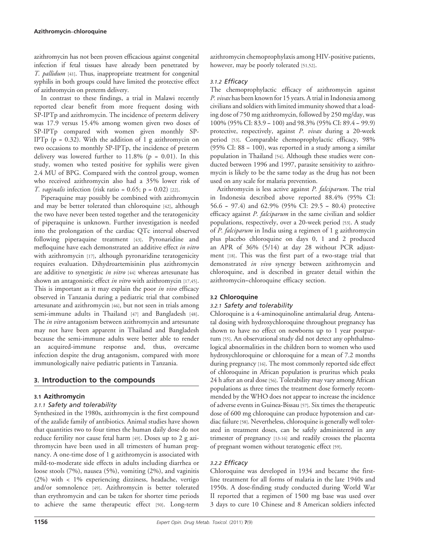azithromycin has not been proven efficacious against congenital infection if fetal tissues have already been penetrated by T. pallidum [41]. Thus, inappropriate treatment for congenital syphilis in both groups could have limited the protective effect of azithromycin on preterm delivery.

In contrast to these findings, a trial in Malawi recently reported clear benefit from more frequent dosing with SP-IPTp and azithromycin. The incidence of preterm delivery was 17.9 versus 15.4% among women given two doses of SP-IPTp compared with women given monthly SP-IPTp ( $p = 0.32$ ). With the addition of 1 g azithromycin on two occasions to monthly SP-IPTp, the incidence of preterm delivery was lowered further to  $11.8\%$  (p = 0.01). In this study, women who tested positive for syphilis were given 2.4 MU of BPG. Compared with the control group, women who received azithromycin also had a 35% lower risk of *T. vaginalis* infection (risk ratio =  $0.65$ ; p =  $0.02$ ) [22].

Piperaquine may possibly be combined with azithromycin and may be better tolerated than chloroquine [42], although the two have never been tested together and the teratogenicity of piperaquine is unknown. Further investigation is needed into the prolongation of the cardiac QTc interval observed following piperaquine treatment [43]. Pyronaridine and mefloquine have each demonstrated an additive effect in vitro with azithromycin [17], although pyronaridine teratogenicity requires evaluation. Dihydroartemisinin plus azithromycin are additive to synergistic in vitro [44] whereas artesunate has shown an antagonistic effect in vitro with azithromycin [17,45]. This is important as it may explain the poor in vivo efficacy observed in Tanzania during a pediatric trial that combined artesunate and azithromycin [46], but not seen in trials among semi-immune adults in Thailand [47] and Bangladesh [48]. The *in vitro* antagonism between azithromycin and artesunate may not have been apparent in Thailand and Bangladesh because the semi-immune adults were better able to render an acquired-immune response and, thus, overcame infection despite the drug antagonism, compared with more immunologically naive pediatric patients in Tanzania.

# 3. Introduction to the compounds

#### 3.1 Azithromycin

#### 3.1.1 Safety and tolerability

Synthesized in the 1980s, azithromycin is the first compound of the azalide family of antibiotics. Animal studies have shown that quantities two to four times the human daily dose do not reduce fertility nor cause fetal harm [49]. Doses up to 2 g azithromycin have been used in all trimesters of human pregnancy. A one-time dose of 1 g azithromycin is associated with mild-to-moderate side effects in adults including diarrhea or loose stools (7%), nausea (5%), vomiting (2%), and vaginitis (2%) with < 1% experiencing dizziness, headache, vertigo and/or somnolence [49]. Azithromycin is better tolerated than erythromycin and can be taken for shorter time periods to achieve the same therapeutic effect [50]. Long-term azithromycin chemoprophylaxis among HIV-positive patients, however, may be poorly tolerated [51,52].

#### 3.1.2 Efficacy

The chemoprophylactic efficacy of azithromycin against P. vivax has been known for 15 years. A trial in Indonesia among civilians and soldiers with limited immunity showed that a loading dose of 750 mg azithromycin, followed by 250 mg/day, was 100% (95% CI: 83.9 – 100) and 98.3% (95% CI: 89.4 – 99.9) protective, respectively, against P. vivax during a 20-week period [53]. Comparable chemoprophylactic efficacy, 98%  $(95\% \text{ CI: } 88 - 100)$ , was reported in a study among a similar population in Thailand [54]. Although these studies were conducted between 1996 and 1997, parasite sensitivity to azithromycin is likely to be the same today as the drug has not been used on any scale for malaria prevention.

Azithromycin is less active against P. falciparum. The trial in Indonesia described above reported 88.4% (95% CI: 56.6 - 97.4) and 62.9% (95% CI: 29.5 - 80.4) protective efficacy against *P. falciparum* in the same civilian and soldier populations, respectively, over a 20-week period [53]. A study of P. falciparum in India using a regimen of 1 g azithromycin plus placebo chloroquine on days 0, 1 and 2 produced an APR of 36% (5/14) at day 28 without PCR adjustment [18]. This was the first part of a two-stage trial that demonstrated in vivo synergy between azithromycin and chloroquine, and is described in greater detail within the azithromycin--chloroquine efficacy section.

#### 3.2 Chloroquine

#### 3.2.1 Safety and tolerability

Chloroquine is a 4-aminoquinoline antimalarial drug. Antenatal dosing with hydroxychloroquine throughout pregnancy has shown to have no effect on newborns up to 1 year postpartum [55]. An observational study did not detect any ophthalmological abnormalities in the children born to women who used hydroxychloroquine or chloroquine for a mean of 7.2 months during pregnancy [16]. The most commonly reported side effect of chloroquine in African population is pruritus which peaks 24 h after an oral dose [56]. Tolerability may vary among African populations as three times the treatment dose formerly recommended by the WHO does not appear to increase the incidence of adverse events in Guinea-Bissau [57]. Six times the therapeutic dose of 600 mg chloroquine can produce hypotension and cardiac failure [58]. Nevertheless, chloroquine is generally well tolerated in treatment doses, can be safely administered in any trimester of pregnancy [13-16] and readily crosses the placenta of pregnant women without teratogenic effect [59].

#### 3.2.2 Efficacy

Chloroquine was developed in 1934 and became the firstline treatment for all forms of malaria in the late 1940s and 1950s. A dose-finding study conducted during World War II reported that a regimen of 1500 mg base was used over 3 days to cure 10 Chinese and 8 American soldiers infected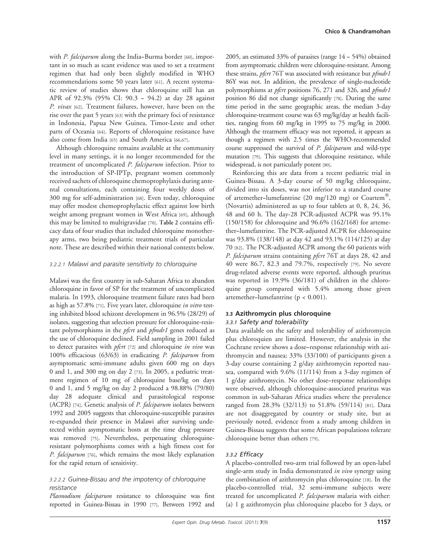with P. falciparum along the India-Burma border [60], important in so much as scant evidence was used to set a treatment regimen that had only been slightly modified in WHO recommendations some 50 years later [61]. A recent systematic review of studies shows that chloroquine still has an APR of 92.3% (95% CI: 90.3 - 94.2) at day 28 against P. vivax [62]. Treatment failures, however, have been on the rise over the past 5 years [63] with the primary foci of resistance in Indonesia, Papua New Guinea, Timor-Leste and other parts of Oceania [64]. Reports of chloroquine resistance have also come from India [65] and South America [66,67].

Although chloroquine remains available at the community level in many settings, it is no longer recommended for the treatment of uncomplicated P. falciparum infection. Prior to the introduction of SP-IPTp, pregnant women commonly received sachets of chloroquine chemoprophylaxis during antental consultations, each containing four weekly doses of 300 mg for self-administration [68]. Even today, chloroquine may offer modest chemoprophylactic effect against low birth weight among pregnant women in West Africa [69], although this may be limited to multigravidae [70]. Table 2 contains efficacy data of four studies that included chloroquine monotherapy arms, two being pediatric treatment trials of particular note. These are described within their national contexts below.

#### 3.2.2.1 Malawi and parasite sensitivity to chloroquine

Malawi was the first country in sub-Saharan Africa to abandon chloroquine in favor of SP for the treatment of uncomplicated malaria. In 1993, chloroquine treatment failure rates had been as high as 57.8% [71]. Five years later, chloroquine in vitro testing inhibited blood schizont development in 96.5% (28/29) of isolates, suggesting that selection pressure for chloroquine-resistant polymorphisms in the *pfcrt* and *pfmdr1* genes reduced as the use of chloroquine declined. Field sampling in 2001 failed to detect parasites with *pfcrt* [72] and chloroquine in vivo was 100% efficacious (63/63) in eradicating P. falciparum from asymptomatic semi-immune adults given 600 mg on days 0 and 1, and 300 mg on day 2 [73]. In 2005, a pediatric treatment regimen of 10 mg of chloroquine base/kg on days 0 and 1, and 5 mg/kg on day 2 produced a 98.88% (79/80) day 28 adequate clinical and parasitological response (ACPR) [74]. Genetic analysis of *P. falciparum* isolates between 1992 and 2005 suggests that chloroquine-susceptible parasites re-expanded their presence in Malawi after surviving undetected within asymptomatic hosts at the time drug pressure was removed [75]. Nevertheless, perpetuating chloroquineresistant polymorphisms comes with a high fitness cost for P. falciparum [76], which remains the most likely explanation for the rapid return of sensitivity.

#### 3.2.2.2 Guinea-Bissau and the impotency of chloroquine resistance

Plasmodium falciparum resistance to chloroquine was first reported in Guinea-Bissau in 1990 [77]. Between 1992 and

2005, an estimated 33% of parasites (range  $14 - 54%$ ) obtained from asymptomatic children were chloroquine-resistant. Among these strains, pfcrt 76T was associated with resistance but pfmdr1 86Y was not. In addition, the prevalence of single-nucleotide polymorphisms at *pfcrt* positions 76, 271 and 326, and *pfmdr1* position 86 did not change significantly [78]. During the same time period in the same geographic areas, the median 3-day chloroquine-treatment course was 63 mg/kg/day at health facilities, ranging from 60 mg/kg in 1995 to 75 mg/kg in 2000. Although the treatment efficacy was not reported, it appears as though a regimen with 2.5 times the WHO-recommended course suppressed the survival of P. falciparum and wild-type mutation [79]. This suggests that chloroquine resistance, while widespread, is not particularly potent [80].

Reinforcing this are data from a recent pediatric trial in Guinea-Bissau. A 3-day course of 50 mg/kg chloroquine, divided into six doses, was not inferior to a standard course of artemether-lumefantrine (20 mg/120 mg) or Coartem<sup>®</sup>, (Novartis) administered as up to four tablets at 0, 8, 24, 36, 48 and 60 h. The day-28 PCR-adjusted ACPR was 95.1% (150/158) for chloroquine and 96.6% (162/168) for artemether--lumefantrine. The PCR-adjusted ACPR for chloroquine was 93.8% (138/148) at day 42 and 93.1% (114/125) at day 70 [82]. The PCR-adjusted ACPR among the 60 patients with P. falciparum strains containing pfcrt 76T at days 28, 42 and 40 were 86.7, 82.3 and 79.7%, respectively [79]. No severe drug-related adverse events were reported, although pruritus was reported in 19.9% (36/181) of children in the chloroquine group compared with 5.4% among those given artemether--lumefantrine (p < 0.001).

# 3.3 Azithromycin plus chloroquine

#### 3.3.1 Safety and tolerability

Data available on the safety and tolerability of azithromycin plus chloroquien are limited. However, the analysis in the Cochrane review shows a dose--response relationship with azithromycin and nausea; 33% (33/100) of participants given a 3-day course containing 2 g/day azithromycin reported nausea, compared with 9.6% (11/114) from a 3-day regimen of 1 g/day azithromycin. No other dose--response relationships were observed, although chloroquine-associated pruritus was common in sub-Saharan Africa studies where the prevalence ranged from 28.3% (32/113) to 51.8% (59/114) [81]. Data are not disaggregated by country or study site, but as previously noted, evidence from a study among children in Guinea-Bissau suggests that some African populations tolerate chloroquine better than others [79].

#### 3.3.2 Efficacy

A placebo-controlled two-arm trial followed by an open-label single-arm study in India demonstrated in vivo synergy using the combination of azithromycin plus chloroquine [18]. In the placebo-controlled trial, 32 semi-immune subjects were treated for uncomplicated P. falciparum malaria with either: (a) 1 g azithromycin plus chloroquine placebo for 3 days, or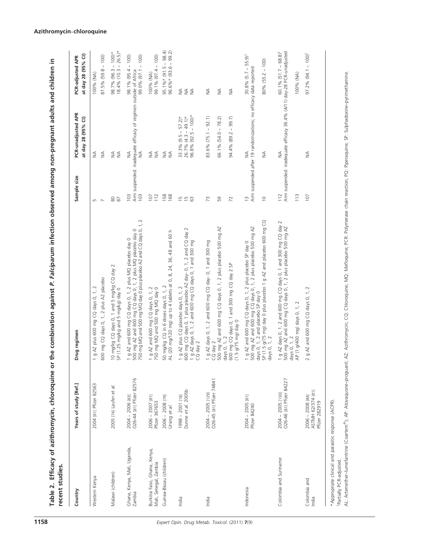| recent studies.                                                                  |                                                         |                                                                                                                                                                                                                                                 |                              |                                                                                               |                                                             |
|----------------------------------------------------------------------------------|---------------------------------------------------------|-------------------------------------------------------------------------------------------------------------------------------------------------------------------------------------------------------------------------------------------------|------------------------------|-----------------------------------------------------------------------------------------------|-------------------------------------------------------------|
| Country                                                                          | Years of study [Ref.]                                   | Drug regimen                                                                                                                                                                                                                                    | Sample size                  | PCR-unadjusted APR<br>at day 28 (95% CI)                                                      | at day 28 (95% CI)<br>PCR-adjusted APR                      |
| Western Kenya                                                                    | 2004 [81] Pfizer 82563                                  | 500 mg CQ days 0, 1, 2 plus AZ placebo<br>g AZ plus 600 mg CQ days 0, 1, 2                                                                                                                                                                      | Б<br>$\overline{ }$          | $\lessgtr$<br>₹                                                                               | $87.5\%$ (59.8 - 100)<br>100% (NA)                          |
| Malawi (children)                                                                | 2005 [74] Laufer et al.                                 | IO mg/kg CQ days 0, 1 and 5 mg/kg CQ day 2<br>SP (1.25 mg/kg and 5 mg/kg) day 0                                                                                                                                                                 | $\rm ^{\rm 50}$<br>87        | ≨≨                                                                                            | $98.7\%$ (96.3 – 100)*<br>18.4% (10.3 – 26.5)*              |
| Ghana, Kenya, Mali, Uganda,<br>Zambia                                            | O26-44 [81] Pfizer 82576<br>2004 - 2006 [83]            | 1 g AZ and 600 mg CQ days 0, 1, 2 plus MQ placebo day 0<br>500 mg AZ and 600 mg CQ days 0, 1, 2 plus MQ placebo day 0<br>750 mg MQ and 500 mg MQ day 0 plus placebo AZ and CQ days 0, 1, 2                                                      | 103<br>103                   | Arm suspended: inadequate efficacy of regimen outside of Africa<br>₹<br>₹                     | 99.0% (97.1 - 100)<br>98.1% (95.4 - 100)                    |
| Burkina Faso, Ghana, Kenya,<br>Guinea-Bissau (children)<br>Mali, Senegal, Zambia | 2006 - 2007 [81]<br>2006 - 2008 [79]<br>Pfizer 367653   | 50 mg/kg CQ in 6 doses days 0, 1, 2<br>1 g AZ and 600 mg CQ days 0, 1, 2<br>750 mg MQ and 500 mg MQ day 0                                                                                                                                       | 158<br>112<br>107            | $\frac{1}{2}$<br>$\lessgtr$<br>$\lessgtr$                                                     | $95.1\% * (91.5 - 98.4)$<br>99.1% (97.4 - 100)<br>100% (NA) |
| India                                                                            | Dunne et al. 2005b<br>1998 - 2001 [18]<br>Ursing et al. | 500 mg CQ days 0, 1 plus placebo AZ day- 0, 1, 2 and CQ day 2<br>AL (20 mg/120 mg) up to 4 tablets at 0, 8, 24, 36, 48 and 60 h<br>g AZ days 0, 1, 2 and 600 mg CQ days 0, 1 and 300 mg<br>g AZ plus CQ placebo days 0, 1, 2<br>CQ day 2        | 1500                         | $96.8\%$ $(92.5 - 100)*$<br>$26.7\% (4.3 - 49.1)$ *<br>$33.3\%$ $(9.5 - 57.2)*$<br>$\lessgtr$ | $96.6\%*(93.6 - 99.2)$<br>₹<br>$\lessgtr$<br>$\lessgtr$     |
| India                                                                            | O26-45 [81] Pfizer 74841<br>2004 - 2005 [129]           | 500 mg AZ and 600 mg CQ days 0, 1, 2 plus placebo 500 mg AZ<br>1 g AZ days 0, 1, 2 and 600 mg CQ day- 0, 1 and 300 mg<br>CQ day 2<br>500 mg CQ days 0, 1 and 300 mg CQ day 2 SP<br>$(1.5 g/75 mg)$ day 0<br>days 0, 1, 2                        | 59<br>72<br>73               | $-92.1$<br>99.7)<br>$66.1\%$ (54.0 - 78.2)<br>94.4% (89.2 -<br>83.6% (75.1                    | $\frac{1}{2}$<br>$\frac{1}{2}$<br>$\lessgtr$                |
| Indonesia                                                                        | 2004 - 2005 [81]<br>Pfizer 84240                        | SP (1.5 g/75 mg) day 0 plus placebo 1 g AZ and placebo 600 mg CQ<br>days 0, 1, 2<br>1 g AZ and 600 mg CQ days 0, 1, 2 plus placebo SP day 0<br>500 mg AZ and 600 mg CQ days 0, 1, 2 plus placebo 500 mg AZ<br>days 0, 1, 2 and placebo SP day 0 | $\frac{1}{2}$<br>$\supseteq$ | Arm suspended after 19 randomizations; no efficacy data reported<br>₹<br>≸                    | $30.8\%$ (5.7 – 55.9) <sup>‡</sup><br>$80\%$ (55.2 – 100)   |
| Colombia and Suriname                                                            | O26-46 [81] Pfizer 84227<br>2004 - 2005 [130]           | 1 g AZ days 0, 1, 2 and 600 mg CQ days 0, 1 and 300 mg CQ day 2<br>500 mg AZ and 600 mg CQ days 0, 1, 2 plus placebo 500 mg AZ<br>AP (1 g/400 mg) days 0, 1, 2<br>days $0, 1, 2$                                                                | 113<br>112                   | Arm suspended: inadequate efficacy 36.4% (4/11) day-28 PCR-unadjusted<br>≸                    | $60.1\%$ (51.7 – 68.8) <sup>‡</sup><br>100% (NA)            |
| Colombia and<br>India                                                            | ASTMH 62/374 [81]<br>2006 - 2008 [84]<br>Pfizer 282919  | g AZ and 600 mg CQ days 0, 1, 2                                                                                                                                                                                                                 | 107                          | ₹                                                                                             | $97.2\% (94.1 - 100)^{\frac{1}{7}}$                         |
|                                                                                  |                                                         |                                                                                                                                                                                                                                                 |                              |                                                                                               |                                                             |

Table 2. Efficacy of azithromycin, chloroquine or the combination against P. Falciparum infection observed among non-pregnant adults and children in Table 2. Efficacy of azithromycin, chloroquine or the combination against P. Falciparum infection observed among non-pregnant adults and children in recent studies. J.

\*Appropriate clinical and parasitic response (ACPR).

zPartially PCR-adjusted.

\*Appropriate clinical and parastic response (ACPR).<br>†Partially PCR-adjusted.<br>AL: Artemether–lumefantrine (Coartem®); AP: Atovaquone–proguani); AZ: Azithromycin; CQ: Chloroquine; PCR: Polymerase chain reaction; PQ: Piperaqu ); AP: Atovaquone--proguanil; AZ: Azithromycin; CQ: Chloroquine; MQ: Mefloquine; PCR: Polymerase chain reaction; PQ: Piperaquine; SP: Sulphadoxine--pyrimethamine. AL: Artemether--lumefantrine (Coartem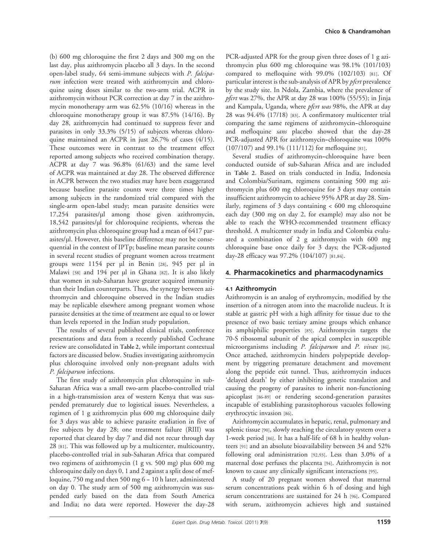(b) 600 mg chloroquine the first 2 days and 300 mg on the last day, plus azithromycin placebo all 3 days. In the second open-label study, 64 semi-immune subjects with P. falciparum infection were treated with azithromycin and chloroquine using doses similar to the two-arm trial. ACPR in azithromycin without PCR correction at day 7 in the azithromycin monotherapy arm was 62.5% (10/16) whereas in the chloroquine monotherapy group it was 87.5% (14/16). By day 28, azithromycin had continued to suppress fever and parasites in only 33.3% (5/15) of subjects whereas chloroquine maintained an ACPR in just 26.7% of cases (4/15). These outcomes were in contrast to the treatment effect reported among subjects who received combination therapy. ACPR at day 7 was 96.8% (61/63) and the same level of ACPR was maintained at day 28. The observed difference in ACPR between the two studies may have been exaggerated because baseline parasite counts were three times higher among subjects in the randomized trial compared with the single-arm open-label study; mean parasite densities were 17,254 parasites/µl among those given azithromycin, 18,542 parasites/µl for chloroquine recipients, whereas the azithromycin plus chloroquine group had a mean of 6417 parasites/µl. However, this baseline difference may not be consequential in the context of IPTp; baseline mean parasite counts in several recent studies of pregnant women across treatment groups were 1154 per µl in Benin [28], 945 per µl in Malawi [38] and 194 per µl in Ghana [82]. It is also likely that women in sub-Saharan have greater acquired immunity than their Indian counterparts. Thus, the synergy between azithromycin and chloroquine observed in the Indian studies may be replicable elsewhere among pregnant women whose parasite densities at the time of treatment are equal to or lower than levels reported in the Indian study population.

The results of several published clinical trials, conference presentations and data from a recently published Cochrane review are consolidated in Table 2, while important contextual factors are discussed below. Studies investigating azithromycin plus chloroquine involved only non-pregnant adults with P. falciparum infections.

The first study of azithromycin plus chloroquine in sub-Saharan Africa was a small two-arm placebo-controlled trial in a high-transmission area of western Kenya that was suspended prematurely due to logistical issues. Nevertheless, a regimen of 1 g azithromycin plus 600 mg chloroquine daily for 3 days was able to achieve parasite eradiation in five of five subjects by day 28; one treatment failure (RIII) was reported that cleared by day 7 and did not recur through day 28 [81]. This was followed up by a multicenter, multicountry, placebo-controlled trial in sub-Saharan Africa that compared two regimens of azithromycin (1 g vs. 500 mg) plus 600 mg chloroquine daily on days 0, 1 and 2 against a split dose of mefloquine, 750 mg and then 500 mg 6 - 10 h later, administered on day 0. The study arm of 500 mg azithromycin was suspended early based on the data from South America and India; no data were reported. However the day-28 PCR-adjusted APR for the group given three doses of 1 g azithromycin plus 600 mg chloroquine was 98.1% (101/103) compared to mefloquine with 99.0% (102/103) [81]. Of particular interest is the sub-analysis of APR by *pfcrt* prevalence by the study site. In Ndola, Zambia, where the prevalence of *pfcrt* was  $27\%$ , the APR at day 28 was  $100\%$  (55/55); in Jinja and Kampala, Uganda, where *pfcrt was* 98%, the APR at day 28 was 94.4% (17/18) [83]. A confirmatory multicenter trial comparing the same regimens of azithromycin--chloroquine and mefloquine sans placebo showed that the day-28 PCR-adjusted APR for azithromycin-chloroquine was 100% (107/107) and 99.1% (111/112) for mefloquine [81].

Several studies of azithromycin-chloroquine have been conducted outside of sub-Saharan Africa and are included in Table 2. Based on trials conducted in India, Indonesia and Colombia/Surinam, regimens containing 500 mg azithromycin plus 600 mg chloroquine for 3 days may contain insufficient azithromycin to achieve 95% APR at day 28. Similarly, regimens of 3 days containing < 600 mg chloroquine each day (300 mg on day 2, for example) may also not be able to reach the WHO-recommended treatment efficacy threshold. A multicenter study in India and Colombia evaluated a combination of 2 g azithromycin with 600 mg chloroquine base once daily for 3 days; the PCR-adjusted day-28 efficacy was 97.2% (104/107) [81,84].

### 4. Pharmacokinetics and pharmacodynamics

#### 4.1 Azithromycin

Azithromycin is an analog of erythromycin, modified by the insertion of a nitrogen atom into the macrolide nucleus. It is stable at gastric pH with a high affinity for tissue due to the presence of two basic tertiary amine groups which enhance its amphiphilic properties [85]. Azithromycin targets the 70-S ribosomal subunit of the apical complex in susceptible microorganisms including P. falciparum and P. vivax [86]. Once attached, azithromycin hinders polypeptide development by triggering premature detachment and movement along the peptide exit tunnel. Thus, azithromycin induces 'delayed death' by either inhibiting genetic translation and causing the progeny of parasites to inherit non-functioning apicoplast [86-89] or rendering second-generation parasites incapable of establishing parasitophorous vacuoles following erythrocytic invasion [86].

Azithromycin accumulates in hepatic, renal, pulmonary and splenic tissue [90], slowly reaching the circulatory system over a 1-week period [86]. It has a half-life of 68 h in healthy volunteers [91] and an absolute bioavailability between 34 and 52% following oral administration [92,93]. Less than 3.0% of a maternal dose perfuses the placenta [94]. Azithromycin is not known to cause any clinically significant interactions [95].

A study of 20 pregnant women showed that maternal serum concentrations peak within 6 h of dosing and high serum concentrations are sustained for 24 h [96]. Compared with serum, azithromycin achieves high and sustained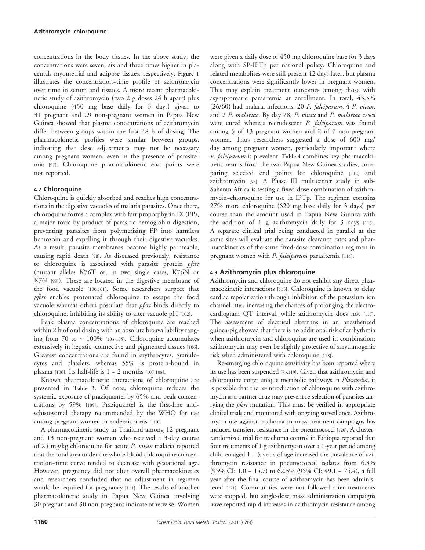concentrations in the body tissues. In the above study, the concentrations were seven, six and three times higher in placental, myometrial and adipose tissues, respectively. Figure 1 illustrates the concentration--time profile of azithromycin over time in serum and tissues. A more recent pharmacokinetic study of azithromycin (two 2 g doses 24 h apart) plus chloroquine (450 mg base daily for 3 days) given to 31 pregnant and 29 non-pregnant women in Papua New Guinea showed that plasma concentrations of azithromycin differ between groups within the first 48 h of dosing. The pharmacokinetic profiles were similar between groups, indicating that dose adjustments may not be necessary among pregnant women, even in the presence of parasitemia [97]. Chloroquine pharmacokinetic end points were not reported.

#### 4.2 Chloroquine

Chloroquine is quickly absorbed and reaches high concentrations in the digestive vacuoles of malaria parasites. Once there, chloroquine forms a complex with ferriproporphyrin IX (FP), a major toxic by-product of parasitic hemoglobin digestion, preventing parasites from polymerizing FP into harmless hemozoin and expelling it through their digestive vacuoles. As a result, parasite membranes become highly permeable, causing rapid death [98]. As discussed previously, resistance to chloroquine is associated with parasite protein *pfcrt* (mutant alleles K76T or, in two single cases, K76N or K76I [99]). These are located in the digestive membrane of the food vacuole [100,101]. Some researchers suspect that pfcrt enables protonated chloroquine to escape the food vacuole whereas others postulate that *pfcrt* binds directly to chloroquine, inhibiting its ability to alter vacuole pH [102].

Peak plasma concentrations of chloroquine are reached within 2 h of oral dosing with an absolute bioavailability ranging from 70 to  $\sim 100\%$  [103-105]. Chloroquine accumulates extensively in hepatic, connective and pigmented tissues [106]. Greatest concentrations are found in erythrocytes, granulocytes and platelets, whereas 55% is protein-bound in plasma  $[106]$ . Its half-life is  $1-2$  months  $[107,108]$ .

Known pharmacokinetic interactions of chloroquine are presented in Table 3. Of note, chloroquine reduces the systemic exposure of praziquantel by 65% and peak concentrations by 59% [109]. Praziquantel is the first-line antischistosomal therapy recommended by the WHO for use among pregnant women in endemic areas [110].

A pharmacokinetic study in Thailand among 12 pregnant and 13 non-pregnant women who received a 3-day course of 25 mg/kg chloroquine for acute P. vivax malaria reported that the total area under the whole-blood chloroquine concentration--time curve tended to decrease with gestational age. However, pregnancy did not alter overall pharmacokinetics and researchers concluded that no adjustment in regimen would be required for pregnancy [111]. The results of another pharmacokinetic study in Papua New Guinea involving 30 pregnant and 30 non-pregnant indicate otherwise. Women were given a daily dose of 450 mg chloroquine base for 3 days along with SP-IPTp per national policy. Chloroquine and related metabolites were still present 42 days later, but plasma concentrations were significantly lower in pregnant women. This may explain treatment outcomes among those with asymptomatic parasitemia at enrollment. In total, 43.3% (26/60) had malaria infections: 20 P. falciparum, 4 P. vivax, and 2 P. malariae. By day 28, P. vivax and P. malariae cases were cured whereas recrudescent P. falciparum was found among 5 of 13 pregnant women and 2 of 7 non-pregnant women. Thus researchers suggested a dose of 600 mg/ day among pregnant women, particularly important where P. falciparum is prevalent. Table 4 combines key pharmacokinetic results from the two Papua New Guinea studies, comparing selected end points for chloroquine [112] and azithromycin [97]. A Phase III multicenter study in sub-Saharan Africa is testing a fixed-dose combination of azithromycin--chloroquine for use in IPTp. The regimen contains 27% more chloroquine (620 mg base daily for 3 days) per course than the amount used in Papua New Guinea with the addition of 1 g azithromycin daily for 3 days [113]. A separate clinical trial being conducted in parallel at the same sites will evaluate the parasite clearance rates and pharmacokinetics of the same fixed-dose combination regimen in pregnant women with *P. falciparum* parasitemia [114].

# 4.3 Azithromycin plus chloroquine

Azithromycin and chloroquine do not exhibit any direct pharmacokinetic interactions [115]. Chloroquine is known to delay cardiac repolarization through inhibition of the potassium ion channel [116], increasing the chances of prolonging the electrocardiogram QT interval, while azithromycin does not [117]. The assessment of electrical alternans in an anesthetized guinea-pig showed that there is no additional risk of arrhythmia when azithromycin and chloroquine are used in combination; azithromycin may even be slightly protective of arrythmogenic risk when administered with chloroquine [118].

Re-emerging chloroquine sensitivity has been reported where its use has been suspended [73,119]. Given that azithromycin and chloroquine target unique metabolic pathways in *Plasmodia*, it is possible that the re-introduction of chloroquine with azithromycin as a partner drug may prevent re-selection of parasites carrying the *pfcrt* mutation. This must be verified in appropriate clinical trials and monitored with ongoing surveillance. Azithromycin use against trachoma in mass-treatment campaigns has induced transient resistance in the pneumococci [120]. A clusterrandomized trial for trachoma control in Ethiopia reported that four treatments of 1 g azithromycin over a 1-year period among children aged  $1 - 5$  years of age increased the prevalence of azithromycin resistance in pneumococcal isolates from 6.3%  $(95\% \text{ CI: } 1.0 - 15.7)$  to 62.3%  $(95\% \text{ CI: } 49.1 - 75.4)$ , a full year after the final course of azithromycin has been administered [121]. Communities were not followed after treatments were stopped, but single-dose mass administration campaigns have reported rapid increases in azithromycin resistance among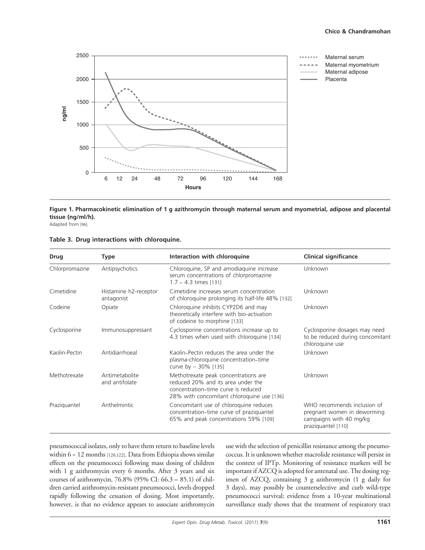

Figure 1. Pharmacokinetic elimination of 1 g azithromycin through maternal serum and myometrial, adipose and placental tissue (ng/ml/h).

Adapted from [96].

|  |  |  |  | Table 3. Drug interactions with chloroquine. |
|--|--|--|--|----------------------------------------------|
|--|--|--|--|----------------------------------------------|

| <b>Drug</b><br><b>Type</b> |                                     | Interaction with chloroquine                                                                                                                                    | <b>Clinical significance</b>                                                                                |  |
|----------------------------|-------------------------------------|-----------------------------------------------------------------------------------------------------------------------------------------------------------------|-------------------------------------------------------------------------------------------------------------|--|
| Chlorpromazine             | Antipsychotics                      | Chloroquine, SP and amodiaquine increase<br>serum concentrations of chlorpromazine<br>1.7 - 4.3 times [131]                                                     | Unknown                                                                                                     |  |
| Cimetidine                 | Histamine h2-receptor<br>antagonist | Cimetidine increases serum concentration<br>of chloroquine prolonging its half-life 48% [132]                                                                   | Unknown                                                                                                     |  |
| Codeine                    | Opiate                              | Chloroquine inhibits CYP2D6 and may<br>theoretically interfere with bio-activation<br>of codeine to morphine [133]                                              | Unknown                                                                                                     |  |
| Cyclosporine               | Immunosuppressant                   | Cyclosporine concentrations increase up to<br>4.3 times when used with chloroquine [134]                                                                        | Cyclosporine dosages may need<br>to be reduced during concomitant<br>chloroquine use                        |  |
| Kaolin-Pectin              | Antidiarrhoeal                      | Kaolin-Pectin reduces the area under the<br>plasma-chloroquine concentration-time<br>curve by $\sim$ 30% [135]                                                  | Unknown                                                                                                     |  |
| Methotrexate               | Antimetabolite<br>and antifolate    | Methotrexate peak concentrations are<br>reduced 20% and its area under the<br>concentration-time curve is reduced<br>28% with concomitant chloroquine use [136] | Unknown                                                                                                     |  |
| Praziquantel               | Anthelmintic                        | Concomitant use of chloroquine reduces<br>concentration-time curve of praziquantel<br>65% and peak concentrations 59% [109]                                     | WHO recommends inclusion of<br>pregnant women in deworming<br>campaigns with 40 mg/kg<br>praziquantel [110] |  |

pneumococcal isolates, only to have them return to baseline levels within  $6-12$  months [120,122]. Data from Ethiopia shows similar effects on the pneumococci following mass dosing of children with 1 g azithromycin every 6 months. After 3 years and six courses of azithromycin, 76.8% (95% CI: 66.3 -- 85.1) of children carried azithromycin-resistant pneumococci, levels dropped rapidly following the cessation of dosing. Most importantly, however, is that no evidence appears to associate azithromycin use with the selection of penicillin resistance among the pneumococcus. It is unknown whether macrolide resistance will persist in the context of IPTp. Monitoring of resistance markers will be important if AZCQ is adopted for antenatal use. The dosing regimen of AZCQ, containing 3 g azithromycin (1 g daily for 3 days), may possibly be counterselective and curb wild-type pneumococci survival; evidence from a 10-year multinational surveillance study shows that the treatment of respiratory tract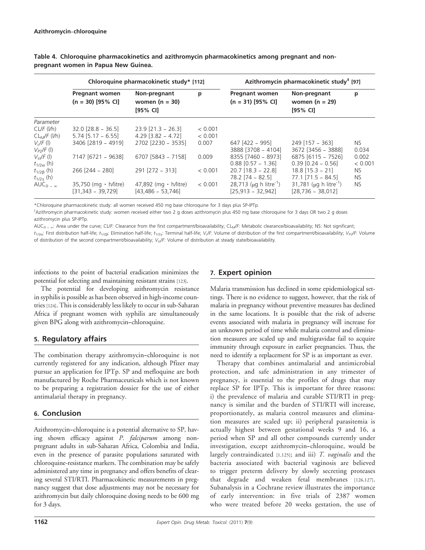|                     | Chloroquine pharmacokinetic study* [112]     |                                                |         | Azithromycin pharmacokinetic study <sup>#</sup> [97] |                                                  |           |
|---------------------|----------------------------------------------|------------------------------------------------|---------|------------------------------------------------------|--------------------------------------------------|-----------|
|                     | <b>Pregnant women</b><br>$(n = 30)$ [95% CI] | Non-pregnant<br>women ( $n = 30$ )<br>[95% CI] | p       | <b>Pregnant women</b><br>$(n = 31)$ [95% CI]         | Non-pregnant<br>women ( $n = 29$ )<br>$[95%$ CI] | р         |
| Parameter           |                                              |                                                |         |                                                      |                                                  |           |
| CL/F (I/h)          | $32.0$ $[28.8 - 36.5]$                       | $23.9$ $[21.3 - 26.3]$                         | < 0.001 |                                                      |                                                  |           |
| $CLM/F$ (I/h)       | $5.74$ [5.17 - 6.55]                         | $4.29$ [3.82 - 4.72]                           | < 0.001 |                                                      |                                                  |           |
| $VdF$ (I)           | 3406 [2819 - 4919]                           | 2702 [2230 - 3535]                             | 0.007   | 647 [422 – 995]                                      | $249$ [157 – 363]                                | NS.       |
| $V_{P2}/F$ (1)      |                                              |                                                |         | 3888 [3708 - 4104]                                   | 3672 [3456 - 3888]                               | 0.034     |
| $V_{\rm sc}$ /F (l) | 7147 [6721 - 9638]                           | 6707 [5843 - 7158]                             | 0.009   | 8355 [7460 - 8973]                                   | 6875 [6115 - 7526]                               | 0.002     |
| $t_{1/2\alpha}$ (h) |                                              |                                                |         | $0.88$ $[0.57 - 1.36]$                               | $0.39$ $[0.24 - 0.56]$                           | < 0.001   |
| $t_{1/2\beta}$ (h)  | 266 [244 - 280]                              | $291$ $[272 - 313]$                            | < 0.001 | $20.7$ [18.3 - 22.8]                                 | $18.8$ [15.3 - 21]                               | NS.       |
| $t_{1/2\gamma}$ (h) |                                              |                                                |         | $78.2$ [74 – 82.5]                                   | $77.1$ $[71.5 - 84.5]$                           | NS.       |
| $AUC_{0-m}$         | $35,750$ (mg $\cdot$ h/litre)                | 47,892 (mg $\cdot$ h/litre)                    | < 0.001 | 28,713 ( $\mu$ g h litre <sup>-1</sup> )             | 31,781 ( $\mu$ g h litre <sup>-1</sup> )         | <b>NS</b> |
|                     | $[31,343 - 39,729]$                          | $[43, 486 - 53, 746]$                          |         | $[25,913 - 32,942]$                                  | $[28,736 - 38,012]$                              |           |

Table 4. Chloroquine pharmacokinetics and azithromycin pharmacokinetics among pregnant and nonpregnant women in Papua New Guinea.

\*Chloroquine pharmacokinetic study: all women received 450 mg base chloroquine for 3 days plus SP-IPTp.

z Azithromycin pharmacokinetic study: women received either two 2 g doses azithromycin plus 450 mg base chloroquine for 3 days OR two 2 g doses azithromycin plus SP-IPTp.

 $AUC_{0}$  -  $\alpha$ : Area under the curve; CL/F: Clearance from the first compartment/bioavailability; CL<sub>M</sub>/F: Metabolic clearance/bioavailability; NS: Not significant;  $t_{1/2\alpha}$ : First distribution half-life;  $t_{1/2\beta}$ : Elimination half-life;  $t_{1/2\gamma}$ : Terminal half-life; V<sub>C</sub>F: Volume of distribution of the first compartment/bioavailability; V<sub>P2</sub>/F: Volume of distribution of the second compartment/bioavailability;  $V_{\text{ss}}/F$ : Volume of distribution at steady state/bioavailability.

infections to the point of bacterial eradication minimizes the potential for selecting and maintaining resistant strains [123].

The potential for developing azithromycin resistance in syphilis is possible as has been observed in high-income countries [124]. This is considerably less likely to occur in sub-Saharan Africa if pregnant women with syphilis are simultaneously given BPG along with azithromycin--chloroquine.

# 5. Regulatory affairs

The combination therapy azithromycin-chloroquine is not currently registered for any indication, although Pfizer may pursue an application for IPTp. SP and mefloquine are both manufactured by Roche Pharmaceuticals which is not known to be preparing a registration dossier for the use of either antimalarial therapy in pregnancy.

# 6. Conclusion

Azithromycin--chloroquine is a potential alternative to SP, having shown efficacy against P. falciparum among nonpregnant adults in sub-Saharan Africa, Colombia and India, even in the presence of parasite populations saturated with chloroquine-resistance markers. The combination may be safely administered any time in pregnancy and offers benefits of clearing several STI/RTI. Pharmacokinetic measurements in pregnancy suggest that dose adjustments may not be necessary for azithromycin but daily chloroquine dosing needs to be 600 mg for 3 days.

# 7. Expert opinion

Malaria transmission has declined in some epidemiological settings. There is no evidence to suggest, however, that the risk of malaria in pregnancy without preventive measures has declined in the same locations. It is possible that the risk of adverse events associated with malaria in pregnancy will increase for an unknown period of time while malaria control and elimination measures are scaled up and multigravidae fail to acquire immunity through exposure in earlier pregnancies. Thus, the need to identify a replacement for SP is as important as ever.

Therapy that combines antimalarial and antimicrobial protection, and safe administration in any trimester of pregnancy, is essential to the profiles of drugs that may replace SP for IPTp. This is important for three reasons: i) the prevalence of malaria and curable STI/RTI in pregnancy is similar and the burden of STI/RTI will increase, proportionately, as malaria control measures and elimination measures are scaled up; ii) peripheral parasitemia is actually highest between gestational weeks 9 and 16, a period when SP and all other compounds currently under investigation, except azithromycin--chloroquine, would be largely contraindicated [1,125]; and iii) T. vaginalis and the bacteria associated with bacterial vaginosis are believed to trigger preterm delivery by slowly secreting proteases that degrade and weaken fetal membranes [126,127]. Subanalysis in a Cochrane review illustrates the importance of early intervention: in five trials of 2387 women who were treated before 20 weeks gestation, the use of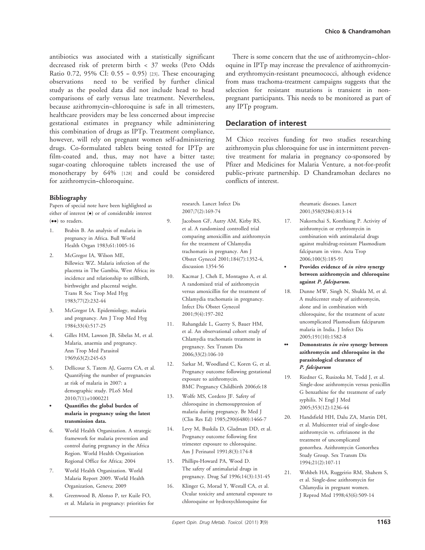antibiotics was associated with a statistically significant decreased risk of preterm birth < 37 weeks (Peto Odds Ratio 0.72, 95% CI: 0.55 - 0.95) [23]. These encouraging observations need to be verified by further clinical study as the pooled data did not include head to head comparisons of early versus late treatment. Nevertheless, because azithromycin--chloroquine is safe in all trimesters, healthcare providers may be less concerned about imprecise gestational estimates in pregnancy while administering this combination of drugs as IPTp. Treatment compliance, however, will rely on pregnant women self-administering drugs. Co-formulated tablets being tested for IPTp are film-coated and, thus, may not have a bitter taste; sugar-coating chloroquine tablets increased the use of monotherapy by 64% [128] and could be considered for azithromycin-chloroquine.

#### Bibliography

Papers of special note have been highlighted as either of interest ( $\bullet$ ) or of considerable interest (••) to readers.

- 1. Brabin B. An analysis of malaria in pregnancy in Africa. Bull World Health Organ 1983;61:1005-16
- 2. McGregor IA, Wilson ME, Billewicz WZ. Malaria infection of the placenta in The Gambia, West Africa; its incidence and relationship to stillbirth, birthweight and placental weight. Trans R Soc Trop Med Hyg 1983;77(2):232-44
- 3. McGregor IA. Epidemiology, malaria and pregnancy. Am J Trop Med Hyg 1984;33(4):517-25
- 4. Gilles HM, Lawson JB, Sibelas M, et al. Malaria, anaemia and pregnancy. Ann Trop Med Parasitol 1969;63(2):245-63
- 5. Dellicour S, Tatem AJ, Guerra CA, et al. Quantifying the number of pregnancies at risk of malaria in 2007: a demographic study. PLoS Med 2010;7(1):e1000221
- . Quantifies the global burden of malaria in pregnancy using the latest transmission data.
- 6. World Health Organization. A strategic framework for malaria prevention and control during pregnancy in the Africa Region. World Health Organization Regional Office for Africa; 2004
- 7. World Health Organization. World Malaria Report 2009. World Health Organization, Geneva; 2009
- 8. Greenwood B, Alonso P, ter Kuile FO, et al. Malaria in pregnancy: priorities for

There is some concern that the use of azithromycin--chloroquine in IPTp may increase the prevalence of azithromycinand erythromycin-resistant pneumococci, although evidence from mass trachoma-treatment campaigns suggests that the selection for resistant mutations is transient in nonpregnant participants. This needs to be monitored as part of any IPTp program.

# Declaration of interest

M Chico receives funding for two studies researching azithromycin plus chloroquine for use in intermittent preventive treatment for malaria in pregnancy co-sponsored by Pfizer and Medicines for Malaria Venture, a not-for-profit public--private partnership. D Chandramohan declares no conflicts of interest.

research. Lancet Infect Dis 2007;7(2):169-74

- 9. Jacobson GF, Autry AM, Kirby RS, et al. A randomized controlled trial comparing amoxicillin and azithromycin for the treatment of Chlamydia trachomatis in pregnancy. Am J Obstet Gynecol 2001;184(7):1352-4, discussion 1354-56
- 10. Kacmar J, Cheh E, Montagno A, et al. A randomized trial of azithromycin versus amoxicillin for the treatment of Chlamydia trachomatis in pregnancy. Infect Dis Obstet Gynecol 2001;9(4):197-202
- 11. Rahangdale L, Guerry S, Bauer HM, et al. An observational cohort study of Chlamydia trachomatis treatment in pregnancy. Sex Transm Dis 2006;33(2):106-10
- 12. Sarkar M, Woodland C, Koren G, et al. Pregnancy outcome following gestational exposure to azithromycin. BMC Pregnancy Childbirth 2006;6:18
- 13. Wolfe MS, Cordero JF. Safety of chloroquine in chemosuppression of malaria during pregnancy. Br Med J (Clin Res Ed) 1985;290(6480):1466-7
- 14. Levy M, Buskila D, Gladman DD, et al. Pregnancy outcome following first trimester exposure to chloroquine. Am J Perinatol 1991;8(3):174-8
- 15. Phillips-Howard PA, Wood D. The safety of antimalarial drugs in pregnancy. Drug Saf 1996;14(3):131-45
- 16. Klinger G, Morad Y, Westall CA, et al. Ocular toxicity and antenatal exposure to chloroquine or hydroxychloroquine for

Chico & Chandramohan

rheumatic diseases. Lancet 2001;358(9284):813-14

- 17. Nakornchai S, Konthiang P. Activity of azithromycin or erythromycin in combination with antimalarial drugs against multidrug-resistant Plasmodium falciparum in vitro. Acta Trop 2006;100(3):185-91
- Provides evidence of in vitro synergy between azithromycin and chloroquine against P. falciparum.
- 18. Dunne MW, Singh N, Shukla M, et al. A multicenter study of azithromycin, alone and in combination with chloroquine, for the treatment of acute uncomplicated Plasmodium falciparum malaria in India. J Infect Dis 2005;191(10):1582-8
- Demonstrates in vivo synergy between azithromycin and chloroquine in the parasitological clearance of P. falciparum
- 19. Riedner G, Rusizoka M, Todd J, et al. Single-dose azithromycin versus penicillin G benzathine for the treatment of early syphilis. N Engl J Med 2005;353(12):1236-44
- 20. Handsfield HH, Dalu ZA, Martin DH, et al. Multicenter trial of single-dose azithromycin vs. ceftriaxone in the treatment of uncomplicated gonorrhea. Azithromycin Gonorrhea Study Group. Sex Transm Dis 1994;21(2):107-11
- 21. Wehbeh HA, Ruggeirio RM, Shahem S, et al. Single-dose azithromycin for Chlamydia in pregnant women. J Reprod Med 1998;43(6):509-14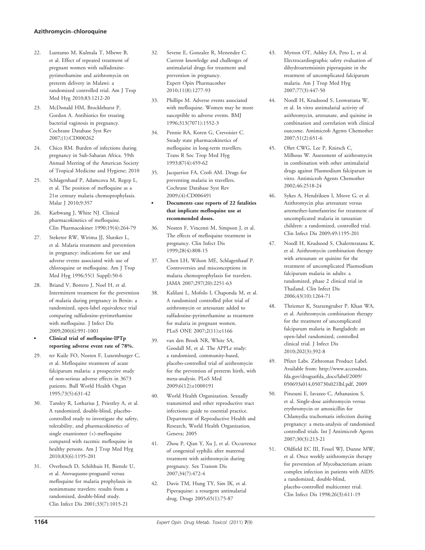#### Azithromycin--chloroquine

- 22. Luntamo M, Kulmala T, Mbewe B, et al. Effect of repeated treatment of pregnant women with sulfadoxinepyrimethamine and azithromycin on preterm delivery in Malawi: a randomized controlled trial. Am J Trop Med Hyg 2010;83:1212-20
- 23. McDonald HM, Brocklehurst P, Gordon A. Antibiotics for treating bacterial vaginosis in pregnancy. Cochrane Database Syst Rev 2007;(1):CD000262
- 24. Chico RM. Burden of infections during pregnancy in Sub-Saharan Africa. 59th Annual Meeting of the American Society of Tropical Medicine and Hygiene; 2010
- 25. Schlagenhauf P, Adamcova M, Regep L, et al. The position of mefloquine as a 21st century malaria chemoprophylaxis. Malar J 2010;9:357
- 26. Karbwang J, White NJ. Clinical pharmacokinetics of mefloquine. Clin Pharmacokinet 1990;19(4):264-79
- 27. Steketee RW, Wirima JJ, Slutsker L, et al. Malaria treatment and prevention in pregnancy: indications for use and adverse events associated with use of chloroquine or mefloquine. Am J Trop Med Hyg 1996;55(1 Suppl):50-6
- 28. Briand V, Bottero J, Noel H, et al. Intermittent treatment for the prevention of malaria during pregnancy in Benin: a randomized, open-label equivalence trial comparing sulfadoxine-pyrimethamine with mefloquine. J Infect Dis 2009;200(6):991-1001
- . Clinical trial of mefloquine-IPTp reporting adverse event rate of 78%.
- 29. ter Kuile FO, Nosten F, Luxemburger C, et al. Mefloquine treatment of acute falciparum malaria: a prospective study of non-serious adverse effects in 3673 patients. Bull World Health Organ 1995;73(5):631-42
- 30. Tansley R, Lotharius J, Priestley A, et al. A randomized, double-blind, placebocontrolled study to investigate the safety, tolerability, and pharmacokinetics of single enantiomer (+)-mefloquine compared with racemic mefloquine in healthy persons. Am J Trop Med Hyg 2010;83(6):1195-201
- 31. Overbosch D, Schilthuis H, Bienzle U, et al. Atovaquone-proguanil versus mefloquine for malaria prophylaxis in nonimmune travelers: results from a randomized, double-blind study. Clin Infect Dis 2001;33(7):1015-21
- 32. Sevene E, Gonzalez R, Menendez C. Current knowledge and challenges of antimalarial drugs for treatment and prevention in pregnancy. Expert Opin Pharmacother 2010;11(8):1277-93
- 33. Phillips M. Adverse events associated with mefloquine. Women may be more susceptible to adverse events. BMJ 1996;313(7071):1552-3
- 34. Pennie RA, Koren G, Crevoisier C. Steady state pharmacokinetics of mefloquine in long-term travellers. Trans R Soc Trop Med Hyg 1993;87(4):459-62
- 35. Jacquerioz FA, Croft AM. Drugs for preventing malaria in travellers. Cochrane Database Syst Rev 2009;(4):CD006491
- . Documents case reports of 22 fatalities that implicate mefloquine use at recommended doses.
- 36. Nosten F, Vincenti M, Simpson J, et al. The effects of mefloquine treatment in pregnancy. Clin Infect Dis 1999;28(4):808-15
- 37. Chen LH, Wilson ME, Schlagenhauf P. Controversies and misconceptions in malaria chemoprophylaxis for travelers. JAMA 2007;297(20):2251-63
- 38. Kalilani L, Mofolo I, Chaponda M, et al. A randomized controlled pilot trial of azithromycin or artesunate added to sulfadoxine-pyrimethamine as treatment for malaria in pregnant women. PLoS ONE 2007;2(11):e1166
- 39. van den Broek NR, White SA, Goodall M, et al. The APPLe study: a randomized, community-based, placebo-controlled trial of azithromycin for the prevention of preterm birth, with meta-analysis. PLoS Med 2009;6(12):e1000191
- 40. World Health Organization. Sexually transmitted and other reproductive tract infections: guide to essential practice. Department of Reproductive Health and Research, World Health Organization, Geneva; 2005
- 41. Zhou P, Qian Y, Xu J, et al. Occurrence of congenital syphilis after maternal treatment with azithromycin during pregnancy. Sex Transm Dis 2007;34(7):472-4
- 42. Davis TM, Hung TY, Sim IK, et al. Piperaquine: a resurgent antimalarial drug. Drugs 2005;65(1):75-87
- 43. Mytton OT, Ashley EA, Peto L, et al. Electrocardiographic safety evaluation of dihydroartemisinin piperaquine in the treatment of uncomplicated falciparum malaria. Am J Trop Med Hyg 2007;77(3):447-50
- 44. Noedl H, Krudsood S, Leowattana W, et al. In vitro antimalarial activity of azithromycin, artesunate, and quinine in combination and correlation with clinical outcome. Antimicrob Agents Chemother 2007;51(2):651-6
- 45. Ohrt CWG, Lee P, Knirsch C, Milhous W. Assessment of azithromycin in combination with other antimalarial drugs against Plasmodium falciparum in vitro. Antimicrob Agents Chemother 2002;46:2518-24
- 46. Sykes A, Hendriksen I, Mtove G, et al. Azithromycin plus artesunate versus artemether-lumefantrine for treatment of uncomplicated malaria in tanzanian children: a randomized, controlled trial. Clin Infect Dis 2009;49:1195-201
- 47. Noedl H, Krudsood S, Chalermratana K, et al. Azithromycin combination therapy with artesunate or quinine for the treatment of uncomplicated Plasmodium falciparum malaria in adults: a randomized, phase 2 clinical trial in Thailand. Clin Infect Dis 2006;43(10):1264-71
- 48. Thriemer K, Starzengruber P, Khan WA, et al. Azithromycin combination therapy for the treatment of uncomplicated falciparum malaria in Bangladesh: an open-label randomized, controlled clinical trial. J Infect Dis 2010;202(3):392-8
- 49. Pfizer Labs. Zithromax Product Label. Available from: http://www.accessdata. fda.gov/drugsatfda\_docs/label/2009/ 050693s014,050730s021lbl.pdf, 2009
- 50. Pitsouni E, Iavazzo C, Athanasiou S, et al. Single-dose azithromycin versus erythromycin or amoxicillin for Chlamydia trachomatis infection during pregnancy: a meta-analysis of randomised controlled trials. Int J Antimicrob Agents 2007;30(3):213-21
- 51. Oldfield EC III, Fessel WJ, Dunne MW, et al. Once weekly azithromycin therapy for prevention of Mycobacterium avium complex infection in patients with AIDS: a randomized, double-blind, placebo-controlled multicenter trial. Clin Infect Dis 1998;26(3):611-19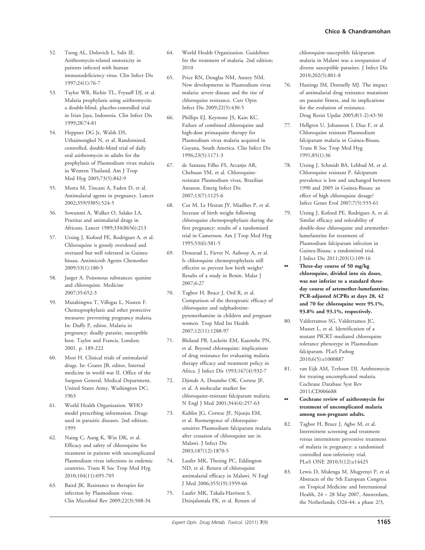- 52. Tseng AL, Dolovich L, Salit IE. Azithromycin-related ototoxicity in patients infected with human immunodeficiency virus. Clin Infect Dis 1997;24(1):76-7
- 53. Taylor WR, Richie TL, Fryauff DJ, et al. Malaria prophylaxis using azithromycin: a double-blind, placebo-controlled trial in Irian Jaya, Indonesia. Clin Infect Dis 1999;28:74-81
- 54. Heppner DG Jr, Walsh DS, Uthaimongkol N, et al. Randomized, controlled, double-blind trial of daily oral azithromycin in adults for the prophylaxis of Plasmodium vivax malaria in Western Thailand. Am J Trop Med Hyg 2005;73(5):842-9
- 55. Motta M, Tincani A, Faden D, et al. Antimalarial agents in pregnancy. Lancet 2002;359(9305):524-5
- 56. Sowunmi A, Walker O, Salako LA. Pruritus and antimalarial drugs in Africans. Lancet 1989;334(8656):213
- 57. Ursing J, Kofoed PE, Rodrigues A, et al. Chloroquine is grossly overdosed and overused but well tolerated in Guineabissau. Antimicrob Agents Chemother 2009;53(1):180-5
- 58. Jaeger A. Poisonous substances: quinine and chloroquine. Medicine 2007;35:652-3
- 59. Mutabingwa T, Villegas L, Nosten F. Chemoprophylaxis and other protective measures: preventing pregnancy malaria. In: Duffy P, editor, Malaria in pregnancy: deadly parasite, susceptible host. Taylor and Francis, London; 2001. p. 189-222
- 60. Most H. Clinical trials of antimalarial drugs. In: Coates JB, editor, Internal medicine in world war II. Office of the Surgeon General, Medical Department, United States Army, Washington DC; 1963
- 61. World Health Organization. WHO model prescribing information. Drugs used in parasitic diseases. 2nd edition; 1995
- 62. Naing C, Aung K, Win DK, et al. Efficacy and safety of chloroquine for treatment in patients with uncomplicated Plasmodium vivax infections in endemic countries. Trans R Soc Trop Med Hyg 2010;104(11):695-705
- 63. Baird JK. Resistance to therapies for infection by Plasmodium vivax. Clin Microbiol Rev 2009;22(3):508-34
- 64. World Health Organization. Guidelines for the treatment of malaria. 2nd edition; 2010
- 65. Price RN, Douglas NM, Anstey NM. New developments in Plasmodium vivax malaria: severe disease and the rise of chloroquine resistance. Curr Opin Infect Dis 2009;22(5):430-5
- 66. Phillips EJ, Keystone JS, Kain KC. Failure of combined chloroquine and high-dose primaquine therapy for Plasmodium vivax malaria acquired in Guyana, South America. Clin Infect Dis 1996;23(5):1171-3
- 67. de Santana Filho FS, Arcanjo AR, Chehuan YM, et al. Chloroquineresistant Plasmodium vivax, Brazilian Amazon. Emerg Infect Dis 2007;13(7):1125-6
- 68. Cot M, Le Hesran JY, Miailhes P, et al. Increase of birth weight following chloroquine chemoprophylaxis during the first pregnancy: results of a randomized trial in Cameroon. Am J Trop Med Hyg 1995;53(6):581-5
- 69. Denoeud L, Fievet N, Aubouy A, et al. Is chloroquine chemoprophylaxis still effective to prevent low birth weight? Results of a study in Benin. Malar J 2007;6:27
- 70. Tagbor H, Bruce J, Ord R, et al. Comparison of the therapeutic efficacy of chloroquine and sulphadoxinepyremethamine in children and pregnant women. Trop Med Int Health 2007;12(11):1288-97
- 71. Bloland PB, Lackritz EM, Kazembe PN, et al. Beyond chloroquine: implications of drug resistance for evaluating malaria therapy efficacy and treatment policy in Africa. J Infect Dis 1993;167(4):932-7
- 72. Djimde A, Doumbo OK, Cortese JF, et al. A molecular marker for chloroquine-resistant falciparum malaria. N Engl J Med 2001;344(4):257-63
- 73. Kublin JG, Cortese JF, Njunju EM, et al. Reemergence of chloroquinesensitive Plasmodium falciparum malaria after cessation of chloroquine use in Malawi. J Infect Dis 2003;187(12):1870-5
- 74. Laufer MK, Thesing PC, Eddington ND, et al. Return of chloroquine antimalarial efficacy in Malawi. N Engl J Med 2006;355(19):1959-66
- 75. Laufer MK, Takala-Harrison S, Dzinjalamala FK, et al. Return of

chloroquine-susceptible falciparum malaria in Malawi was a reexpansion of diverse susceptible parasites. J Infect Dis 2010;202(5):801-8

- 76. Hastings IM, Donnelly MJ. The impact of antimalarial drug resistance mutations on parasite fitness, and its implications for the evolution of resistance. Drug Resist Updat 2005;8(1-2):43-50
- 77. Hellgren U, Johansson I, Dias F, et al. Chloroquine resistant Plasmodium falciparum malaria in Guinea-Bissau. Trans R Soc Trop Med Hyg 1991;85(1):36
- 78. Ursing J, Schmidt BA, Lebbad M, et al. Chloroquine resistant P. falciparum prevalence is low and unchanged between 1990 and 2005 in Guinea-Bissau: an effect of high chloroquine dosage? Infect Genet Evol 2007;7(5):555-61
- 79. Ursing J, Kofoed PE, Rodrigues A, et al. Similar efficacy and tolerability of double-dose chloroquine and artemetherlumefantrine for treatment of Plasmodium falciparum infection in Guinea-Bissau: a randomized trial. J Infect Dis 2011;203(1):109-16
- Three-day course of 50 mg/kg chloroquine, divided into six doses, was not inferior to a standard threeday course of artemether-lumefantrine. PCR-adjusted ACPRs at days 28, 42 and 70 for chloroquine were 95.1%, 93.8% and 93.1%, respectively.
- 80. Valderramos SG, Valderramos JC, Musset L, et al. Identification of a mutant PfCRT-mediated chloroquine tolerance phenotype in Plasmodium falciparum. PLoS Pathog 2010;6(5):e1000887
- 81. van Eijk AM, Terlouw DJ. Azithromycin for treating uncomplicated malaria. Cochrane Database Syst Rev 2011;CD006688
- Cochrane review of azithromycin for treatment of uncomplicated malaria among non-pregnant adults.
- 82. Tagbor H, Bruce J, Agbo M, et al. Intermittent screening and treatment versus intermittent preventive treatment of malaria in pregnancy: a randomised controlled non-inferiority trial. PLoS ONE 2010;5(12):e14425
- 83. Lewis D, Mulenga M, Mugyenyi P, et al. Abstracts of the 5th European Congress on Tropical Medicine and International Health, 24 -- 28 May 2007, Amsterdam, the Netherlands; O26-44: a phase 2/3,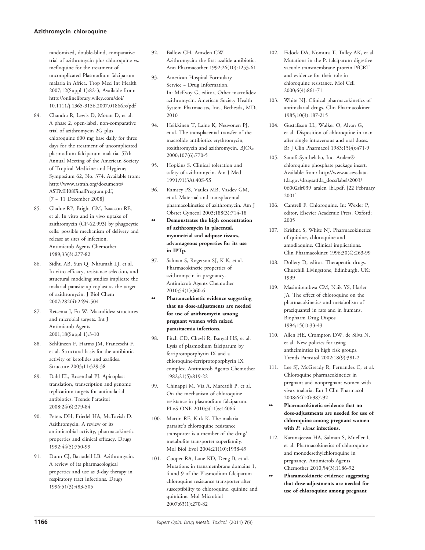#### Azithromycin--chloroquine

randomized, double-blind, comparative trial of azithromycin plus chloroquine vs. mefloquine for the treatment of uncomplicated Plasmodium falciparum malaria in Africa. Trop Med Int Health 2007;12(Suppl 1):82-3, Available from: http://onlinelibrary.wiley.com/doi/ 10.1111/j.1365-3156.2007.01866.x/pdf

- 84. Chandra R, Lewis D, Moran D, et al. A phase 2, open-label, non-comparative trial of azithromycin 2G plus chloroquine 600 mg base daily for three days for the treatment of uncomplicated plasmodium falciparum malaria. 57th Annual Meeting of the American Society of Tropical Medicine and Hygiene; Symposium 62, No. 374. Available from: http://www.astmh.org/documents/ ASTMH08FinalProgram.pdf, [7 - 11 December 2008]
- 85. Gladue RP, Bright GM, Isaacson RE, et al. In vitro and in vivo uptake of azithromycin (CP-62,993) by phagocytic cells: possible mechanism of delivery and release at sites of infection. Antimicrob Agents Chemother 1989;33(3):277-82
- 86. Sidhu AB, Sun Q, Nkrumah LJ, et al. In vitro efficacy, resistance selection, and structural modeling studies implicate the malarial parasite apicoplast as the target of azithromycin. J Biol Chem 2007;282(4):2494-504
- 87. Retsema J, Fu W. Macrolides: structures and microbial targets. Int J Antimicrob Agents 2001;18(Suppl 1):3-10
- 88. Schlünzen F, Harms JM, Franceschi F, et al. Structural basis for the antibiotic activity of ketolides and azalides. Structure 2003;11:329-38
- 89. Dahl EL, Rosenthal PJ. Apicoplast translation, transcription and genome replication: targets for antimalarial antibiotics. Trends Parasitol 2008;24(6):279-84
- 90. Peters DH, Friedel HA, McTavish D. Azithromycin. A review of its antimicrobial activity, pharmacokinetic properties and clinical efficacy. Drugs 1992;44(5):750-99
- 91. Dunn CJ, Barradell LB. Azithromycin. A review of its pharmacological properties and use as 3-day therapy in respiratory tract infections. Drugs 1996;51(3):483-505
- 92. Ballow CH, Amsden GW. Azithromycin: the first azalide antibiotic. Ann Pharmacother 1992;26(10):1253-61
- 93. American Hospital Formulary Service -- Drug Information. In: McEvoy G, editor, Other macrolides: azithromycin. American Society Health System Pharmacists, Inc., Bethesda, MD; 2010
- 94. Heikkinen T, Laine K, Neuvonen PJ, et al. The transplacental transfer of the macrolide antibiotics erythromycin, roxithromycin and azithromycin. BJOG 2000;107(6):770-5
- 95. Hopkins S. Clinical toleration and safety of azithromycin. Am J Med 1991;91(3A):40S-5S
- 96. Ramsey PS, Vaules MB, Vasdev GM, et al. Maternal and transplacental pharmacokinetics of azithromycin. Am J Obstet Gynecol 2003;188(3):714-18
- Demonstrates the high concentration of azithromycin in placental, myometrial and adipose tissues, advantageous properties for its use in IPTp.
- 97. Salman S, Rogerson SJ, K K, et al. Pharmacokinetic properties of azithromycin in pregnancy. Antimicrob Agents Chemother 2010;54(1):360-6
- Pharamcokinetic evidence suggesting that no dose-adjustments are needed for use of azithromycin among pregnant women with mixed parasitaemia infections.
- 98. Fitch CD, Chevli R, Banyal HS, et al. Lysis of plasmodium falciparum by ferriprotoporphyrin IX and a chloroquine-ferriprotoporphyrin IX complex. Antimicrob Agents Chemother 1982;21(5):819-22
- 99. Chinappi M, Via A, Marcatili P, et al. On the mechanism of chloroquine resistance in plasmodium falciparum. PLoS ONE 2010;5(11):e14064
- 100. Martin RE, Kirk K. The malaria parasite's chloroquine resistance transporter is a member of the drug/ metabolite transporter superfamily. Mol Biol Evol 2004;21(10):1938-49
- 101. Cooper RA, Lane KD, Deng B, et al. Mutations in transmembrane domains 1, 4 and 9 of the Plasmodium falciparum chloroquine resistance transporter alter susceptibility to chloroquine, quinine and quinidine. Mol Microbiol 2007;63(1):270-82
- 102. Fidock DA, Nomura T, Talley AK, et al. Mutations in the P. falciparum digestive vacuole transmembrane protein PfCRT and evidence for their role in chloroquine resistance. Mol Cell 2000;6(4):861-71
- 103. White NJ. Clinical pharmacokinetics of antimalarial drugs. Clin Pharmacokinet 1985;10(3):187-215
- 104. Gustafsson LL, Walker O, Alvan G, et al. Disposition of chloroquine in man after single intravenous and oral doses. Br J Clin Pharmacol 1983;15(4):471-9
- 105. Sanofi-Synthelabo, Inc. Aralen®<br>- shlara guine phasehata paskaga chloroquine phosphate package insert. Available from: http://www.accessdata. fda.gov/drugsatfda\_docs/label/2003/ 06002slr039\_aralen\_lbl.pdf. [22 February 2001]
- 106. Cantrell F. Chloroquine. In: Wexler P, editor, Elsevier Academic Press, Oxford; 2005
- 107. Krishna S, White NJ. Pharmacokinetics of quinine, chloroquine and amodiaquine. Clinical implications. Clin Pharmacokinet 1996;30(4):263-99
- 108. Dollery D, editor. Therapeutic drugs. Churchill Livingstone, Edinburgh, UK; 1999
- 109. Masimirembwa CM, Naik YS, Hasler JA. The effect of chloroquine on the pharmacokinetics and metabolism of praziquantel in rats and in humans. Biopharm Drug Dispos 1994;15(1):33-43
- 110. Allen HE, Crompton DW, de Silva N, et al. New policies for using anthelmintics in high risk groups. Trends Parasitol 2002;18(9):381-2
- 111. Lee SJ, McGready R, Fernandez C, et al. Chloroquine pharmacokinetics in pregnant and nonpregnant women with vivax malaria. Eur J Clin Pharmacol 2008;64(10):987-92
- Pharmacokinetic evidence that no dose-adjustments are needed for use of chloroquine among pregnant women with P. vivax infections.
- 112. Karunajeewa HA, Salman S, Mueller I, et al. Pharmacokinetics of chloroquine and monodesethylchloroquine in pregnancy. Antimicrob Agents Chemother 2010;54(3):1186-92
- Pharamcokinetic evidence suggesting that dose-adjustments are needed for use of chloroquine among pregnant